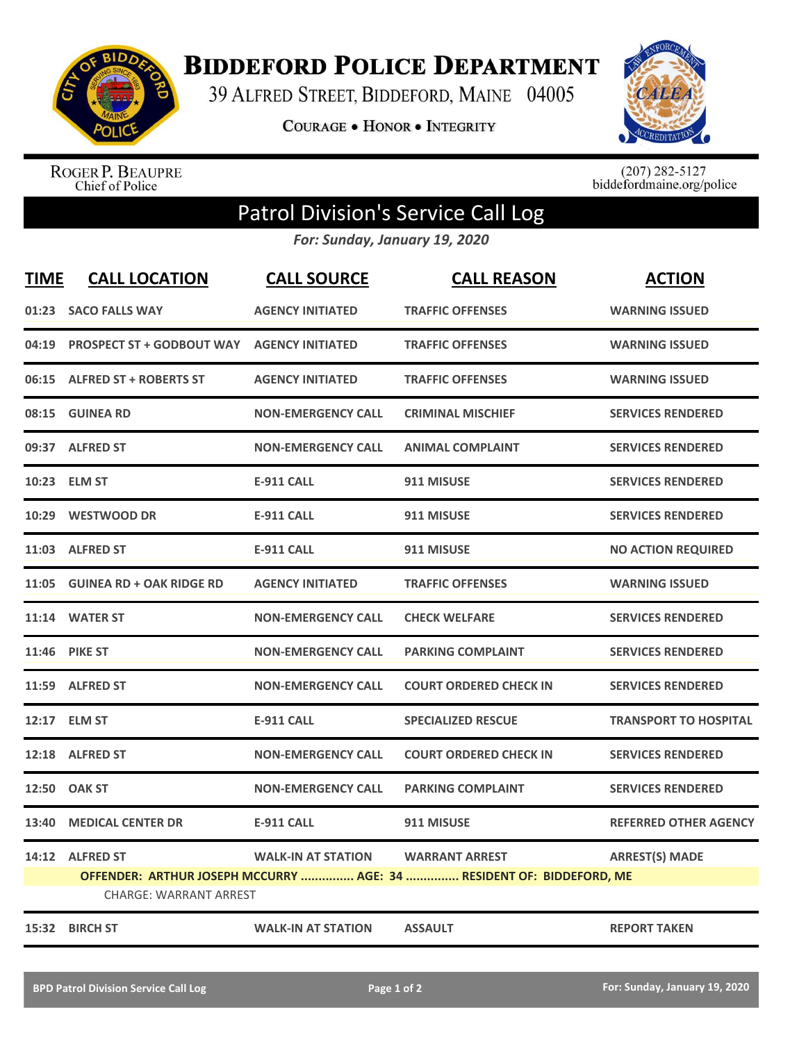

**BIDDEFORD POLICE DEPARTMENT** 

39 ALFRED STREET, BIDDEFORD, MAINE 04005

**COURAGE . HONOR . INTEGRITY** 



ROGER P. BEAUPRE<br>Chief of Police

 $(207)$  282-5127<br>biddefordmaine.org/police

## Patrol Division's Service Call Log

*For: Sunday, January 19, 2020*

| <b>TIME</b> | <b>CALL LOCATION</b>                             | <b>CALL SOURCE</b>        | <b>CALL REASON</b>                                                   | <b>ACTION</b>                |
|-------------|--------------------------------------------------|---------------------------|----------------------------------------------------------------------|------------------------------|
| 01:23       | <b>SACO FALLS WAY</b>                            | <b>AGENCY INITIATED</b>   | <b>TRAFFIC OFFENSES</b>                                              | <b>WARNING ISSUED</b>        |
|             | 04:19 PROSPECT ST + GODBOUT WAY AGENCY INITIATED |                           | <b>TRAFFIC OFFENSES</b>                                              | <b>WARNING ISSUED</b>        |
|             | 06:15 ALFRED ST + ROBERTS ST                     | <b>AGENCY INITIATED</b>   | <b>TRAFFIC OFFENSES</b>                                              | <b>WARNING ISSUED</b>        |
|             | 08:15 GUINEA RD                                  | <b>NON-EMERGENCY CALL</b> | <b>CRIMINAL MISCHIEF</b>                                             | <b>SERVICES RENDERED</b>     |
|             | 09:37 ALFRED ST                                  | <b>NON-EMERGENCY CALL</b> | <b>ANIMAL COMPLAINT</b>                                              | <b>SERVICES RENDERED</b>     |
|             | 10:23 ELM ST                                     | <b>E-911 CALL</b>         | 911 MISUSE                                                           | <b>SERVICES RENDERED</b>     |
|             | 10:29 WESTWOOD DR                                | <b>E-911 CALL</b>         | 911 MISUSE                                                           | <b>SERVICES RENDERED</b>     |
|             | 11:03 ALFRED ST                                  | <b>E-911 CALL</b>         | 911 MISUSE                                                           | <b>NO ACTION REQUIRED</b>    |
|             | 11:05 GUINEA RD + OAK RIDGE RD                   | <b>AGENCY INITIATED</b>   | <b>TRAFFIC OFFENSES</b>                                              | <b>WARNING ISSUED</b>        |
|             | 11:14 WATER ST                                   | <b>NON-EMERGENCY CALL</b> | <b>CHECK WELFARE</b>                                                 | <b>SERVICES RENDERED</b>     |
|             | <b>11:46 PIKE ST</b>                             | <b>NON-EMERGENCY CALL</b> | <b>PARKING COMPLAINT</b>                                             | <b>SERVICES RENDERED</b>     |
|             | 11:59 ALFRED ST                                  | <b>NON-EMERGENCY CALL</b> | <b>COURT ORDERED CHECK IN</b>                                        | <b>SERVICES RENDERED</b>     |
|             | 12:17 ELM ST                                     | <b>E-911 CALL</b>         | <b>SPECIALIZED RESCUE</b>                                            | <b>TRANSPORT TO HOSPITAL</b> |
|             | 12:18 ALFRED ST                                  | <b>NON-EMERGENCY CALL</b> | <b>COURT ORDERED CHECK IN</b>                                        | <b>SERVICES RENDERED</b>     |
| 12:50       | <b>OAK ST</b>                                    | <b>NON-EMERGENCY CALL</b> | <b>PARKING COMPLAINT</b>                                             | <b>SERVICES RENDERED</b>     |
| 13:40       | <b>MEDICAL CENTER DR</b>                         | <b>E-911 CALL</b>         | 911 MISUSE                                                           | <b>REFERRED OTHER AGENCY</b> |
|             | 14:12 ALFRED ST                                  | <b>WALK-IN AT STATION</b> | <b>WARRANT ARREST</b>                                                | <b>ARREST(S) MADE</b>        |
|             | <b>CHARGE: WARRANT ARREST</b>                    |                           | OFFENDER: ARTHUR JOSEPH MCCURRY  AGE: 34  RESIDENT OF: BIDDEFORD, ME |                              |
|             |                                                  |                           |                                                                      |                              |
|             | 15:32 BIRCH ST                                   | <b>WALK-IN AT STATION</b> | <b>ASSAULT</b>                                                       | <b>REPORT TAKEN</b>          |